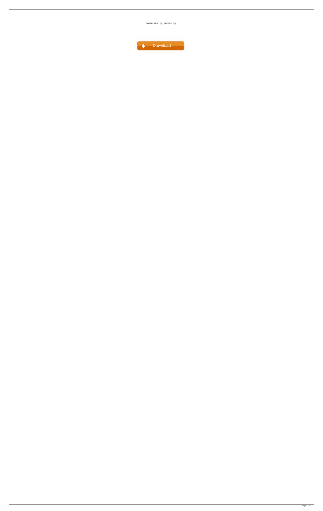

POPMAKER 1.2( ) ((INSTALL))